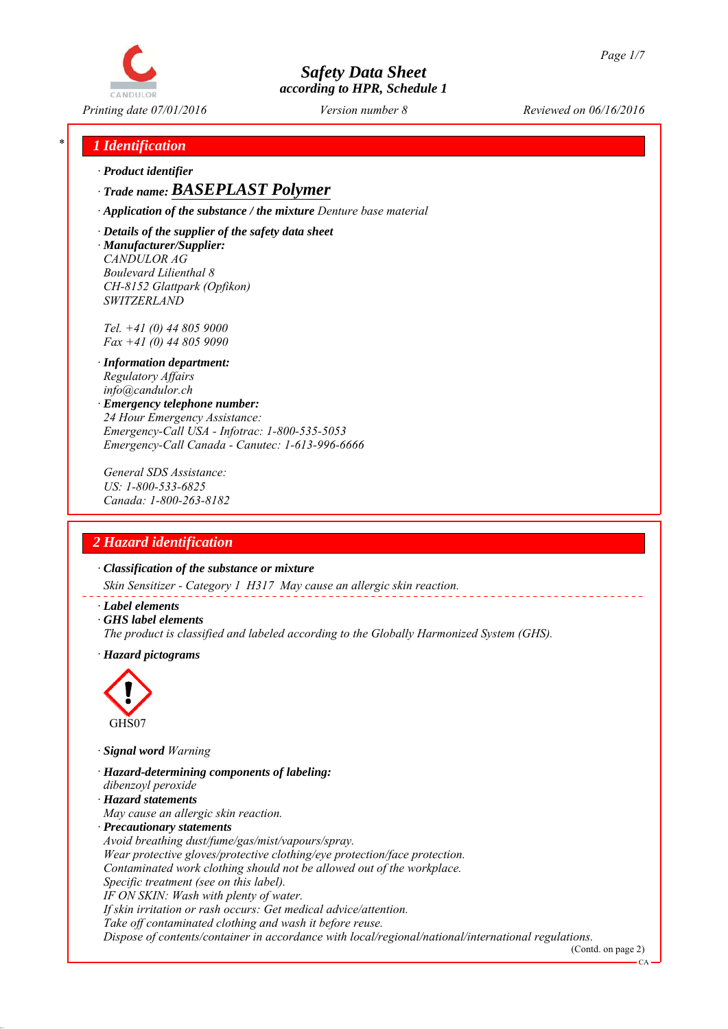

*Printing date 07/01/2016 Reviewed on 06/16/2016 Version number 8*

## *\* 1 Identification*

*∙ Product identifier*

*∙ Trade name: BASEPLAST Polymer*

*∙ Application of the substance / the mixture Denture base material*

*∙ Details of the supplier of the safety data sheet ∙ Manufacturer/Supplier: CANDULOR AG Boulevard Lilienthal 8 CH-8152 Glattpark (Opfikon) SWITZERLAND*

*Tel. +41 (0) 44 805 9000 Fax +41 (0) 44 805 9090*

- *∙ Information department: Regulatory Affairs info@candulor.ch*
- *∙ Emergency telephone number: 24 Hour Emergency Assistance: Emergency-Call USA - Infotrac: 1-800-535-5053 Emergency-Call Canada - Canutec: 1-613-996-6666*

*General SDS Assistance: US: 1-800-533-6825 Canada: 1-800-263-8182*

# *2 Hazard identification*

*∙ Classification of the substance or mixture*

*Skin Sensitizer - Category 1 H317 May cause an allergic skin reaction.*

- *∙ Label elements*
- *∙ GHS label elements*
- *The product is classified and labeled according to the Globally Harmonized System (GHS).*
- *∙ Hazard pictograms*



*∙ Signal word Warning*

- *∙ Hazard-determining components of labeling:*
- *dibenzoyl peroxide*
- *∙ Hazard statements*
- *May cause an allergic skin reaction.*
- *∙ Precautionary statements*
- *Avoid breathing dust/fume/gas/mist/vapours/spray.*

*Wear protective gloves/protective clothing/eye protection/face protection.*

*Contaminated work clothing should not be allowed out of the workplace.*

*Specific treatment (see on this label).*

*IF ON SKIN: Wash with plenty of water.*

*If skin irritation or rash occurs: Get medical advice/attention.*

*Take off contaminated clothing and wash it before reuse.*

*Dispose of contents/container in accordance with local/regional/national/international regulations.*

(Contd. on page 2) CA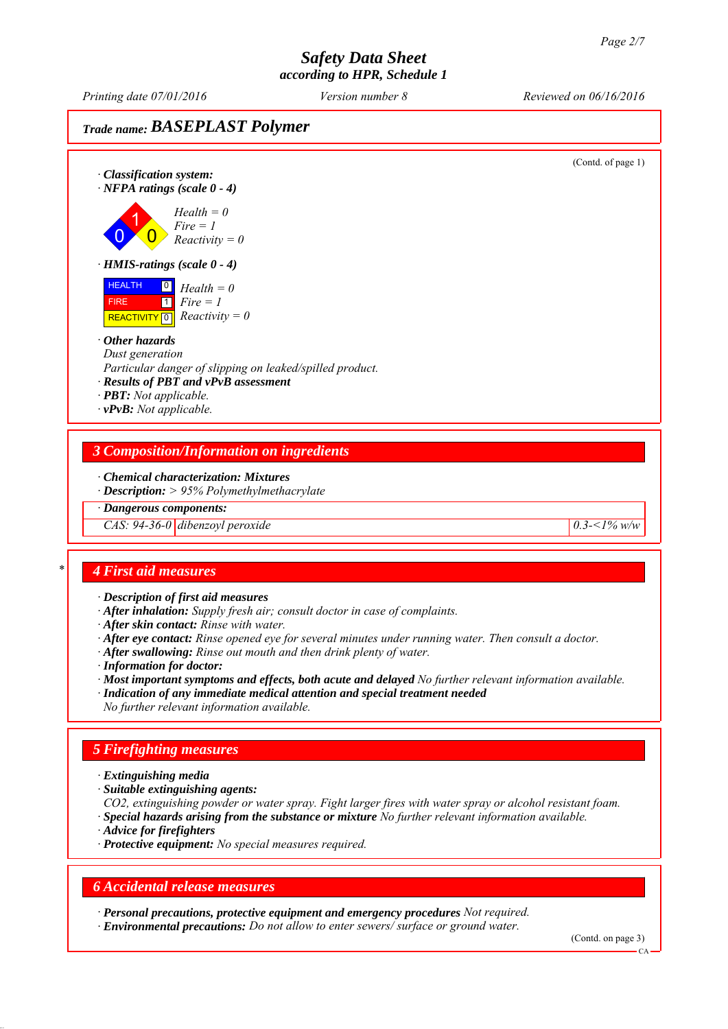*Printing date 07/01/2016 Reviewed on 06/16/2016 Version number 8*

# *Trade name: BASEPLAST Polymer*

(Contd. of page 1) *∙ Classification system: ∙ NFPA ratings (scale 0 - 4)* 0 1  $\overline{\mathbf{0}}$ *Health = 0 Fire = 1 Reactivity = 0 ∙ HMIS-ratings (scale 0 - 4)* HEALTH FIRE  $\overline{REACTIVITY \, 0}$  *Reactivity = 0* 0 *Health = 0*  $\overline{1}$ *Fire = 1 ∙ Other hazards Dust generation Particular danger of slipping on leaked/spilled product. ∙ Results of PBT and vPvB assessment ∙ PBT: Not applicable. ∙ vPvB: Not applicable. 3 Composition/Information on ingredients*

## *∙ Chemical characterization: Mixtures*

*∙ Description: > 95% Polymethylmethacrylate*

*∙ Dangerous components:*

*CAS: 94-36-0 dibenzoyl peroxide 0.3-<1% w/w*

### *\* 4 First aid measures*

*∙ Description of first aid measures*

- *∙ After inhalation: Supply fresh air; consult doctor in case of complaints.*
- *∙ After skin contact: Rinse with water.*
- *∙ After eye contact: Rinse opened eye for several minutes under running water. Then consult a doctor.*
- *∙ After swallowing: Rinse out mouth and then drink plenty of water.*
- *∙ Information for doctor:*

*∙ Most important symptoms and effects, both acute and delayed No further relevant information available.*

*∙ Indication of any immediate medical attention and special treatment needed No further relevant information available.*

# *5 Firefighting measures*

- *∙ Extinguishing media*
- *∙ Suitable extinguishing agents:*
- *CO2, extinguishing powder or water spray. Fight larger fires with water spray or alcohol resistant foam.*
- *∙ Special hazards arising from the substance or mixture No further relevant information available.*
- *∙ Advice for firefighters*
- *∙ Protective equipment: No special measures required.*

#### *6 Accidental release measures*

*∙ Personal precautions, protective equipment and emergency procedures Not required. ∙ Environmental precautions: Do not allow to enter sewers/ surface or ground water.*

(Contd. on page 3)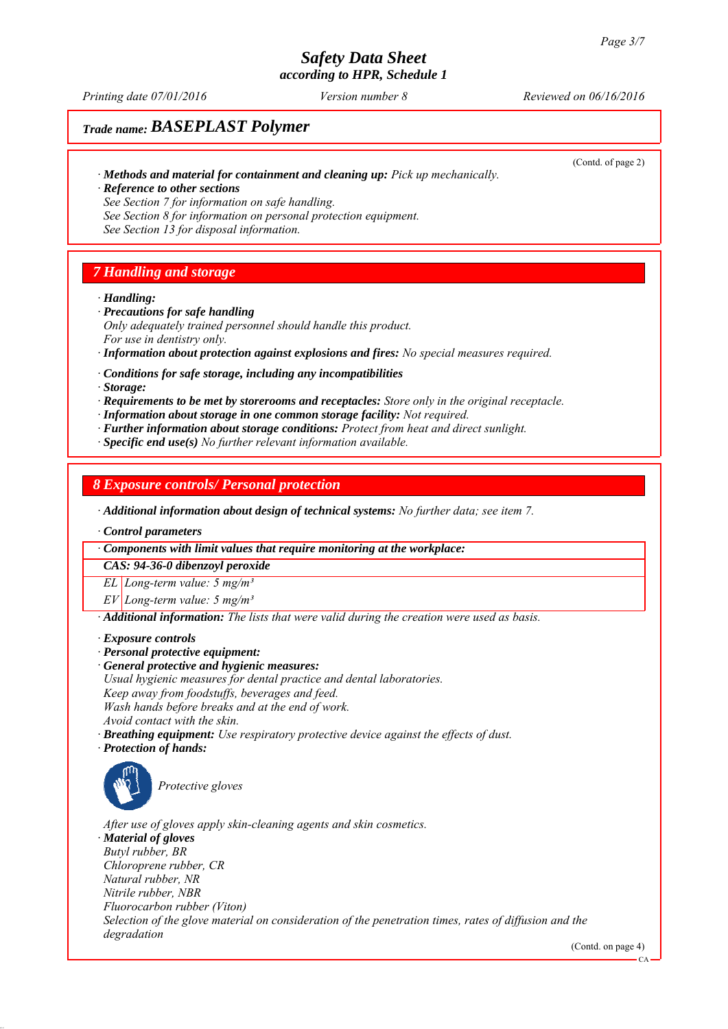*Printing date 07/01/2016 Reviewed on 06/16/2016 Version number 8*

## *Trade name: BASEPLAST Polymer*

*∙ Methods and material for containment and cleaning up: Pick up mechanically. ∙ Reference to other sections*

(Contd. of page 2)

*See Section 7 for information on safe handling. See Section 8 for information on personal protection equipment. See Section 13 for disposal information.*

## *7 Handling and storage*

*∙ Handling:*

- *∙ Precautions for safe handling*
- *Only adequately trained personnel should handle this product. For use in dentistry only.*
- *∙ Information about protection against explosions and fires: No special measures required.*
- *∙ Conditions for safe storage, including any incompatibilities*
- *∙ Storage:*
- *∙ Requirements to be met by storerooms and receptacles: Store only in the original receptacle.*
- *∙ Information about storage in one common storage facility: Not required.*
- *∙ Further information about storage conditions: Protect from heat and direct sunlight.*
- *∙ Specific end use(s) No further relevant information available.*

## *8 Exposure controls/ Personal protection*

*∙ Additional information about design of technical systems: No further data; see item 7.*

*∙ Control parameters*

#### *∙ Components with limit values that require monitoring at the workplace:*

*CAS: 94-36-0 dibenzoyl peroxide*

*EL Long-term value: 5 mg/m³*

*EV Long-term value: 5 mg/m³*

*∙ Additional information: The lists that were valid during the creation were used as basis.*

- *∙ Exposure controls*
- *∙ Personal protective equipment:*
- *∙ General protective and hygienic measures:*
- *Usual hygienic measures for dental practice and dental laboratories. Keep away from foodstuffs, beverages and feed.*

*Wash hands before breaks and at the end of work.*

*Avoid contact with the skin.*

- *∙ Breathing equipment: Use respiratory protective device against the effects of dust.*
- *∙ Protection of hands:*



*Protective gloves*

*After use of gloves apply skin-cleaning agents and skin cosmetics. ∙ Material of gloves Butyl rubber, BR Chloroprene rubber, CR Natural rubber, NR Nitrile rubber, NBR Fluorocarbon rubber (Viton) Selection of the glove material on consideration of the penetration times, rates of diffusion and the degradation*

(Contd. on page 4)

CA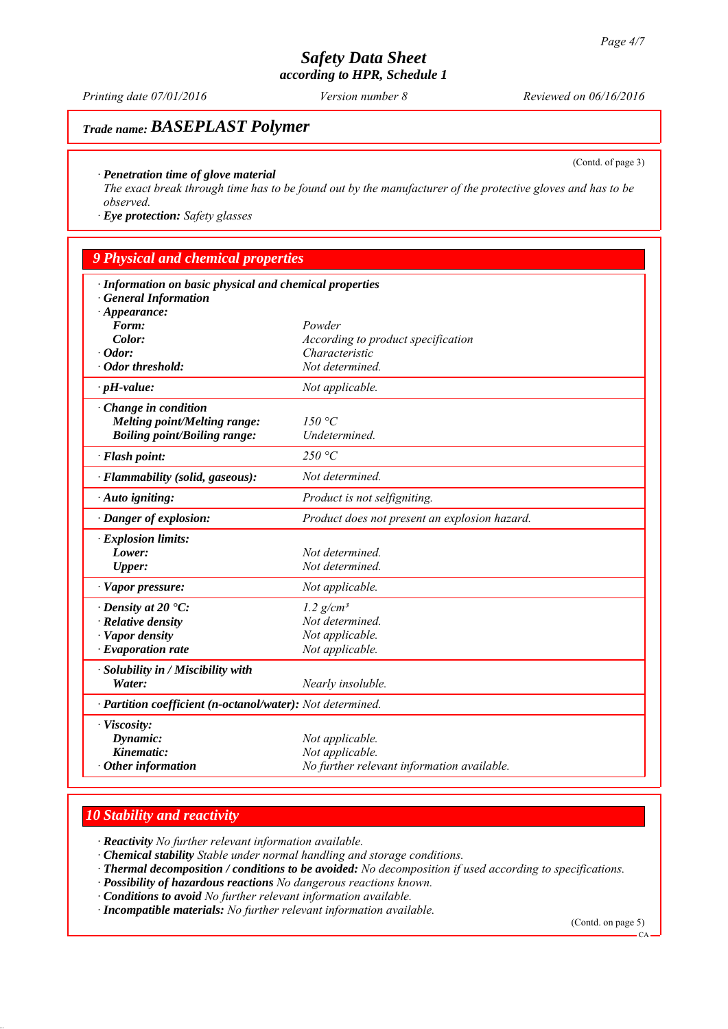*Printing date 07/01/2016 Reviewed on 06/16/2016 Version number 8*

## *Trade name: BASEPLAST Polymer*

(Contd. of page 3)

#### *∙ Penetration time of glove material*

*The exact break through time has to be found out by the manufacturer of the protective gloves and has to be observed.*

*∙ Eye protection: Safety glasses*

## *9 Physical and chemical properties*

| · Information on basic physical and chemical properties    |                                               |  |
|------------------------------------------------------------|-----------------------------------------------|--|
| · General Information<br>$\cdot$ Appearance:               |                                               |  |
| Form:                                                      | Powder                                        |  |
| Color:                                                     | According to product specification            |  |
| $\cdot$ Odor:                                              | Characteristic                                |  |
| · Odor threshold:                                          | Not determined.                               |  |
| $\cdot$ pH-value:                                          | Not applicable.                               |  |
| $\cdot$ Change in condition                                |                                               |  |
| <b>Melting point/Melting range:</b>                        | 150 °C                                        |  |
| <b>Boiling point/Boiling range:</b>                        | Undetermined.                                 |  |
| · Flash point:                                             | 250 °C                                        |  |
| · Flammability (solid, gaseous):                           | Not determined.                               |  |
| · Auto igniting:                                           | Product is not selfigniting.                  |  |
| $\cdot$ Danger of explosion:                               | Product does not present an explosion hazard. |  |
| $\cdot$ Explosion limits:                                  |                                               |  |
| Lower:                                                     | Not determined.                               |  |
| <b>Upper:</b>                                              | Not determined.                               |  |
| $\cdot$ Vapor pressure:                                    | Not applicable.                               |  |
| $\cdot$ Density at 20 $\cdot$ C:                           | $1.2$ g/cm <sup>3</sup>                       |  |
| $\cdot$ Relative density                                   | Not determined.                               |  |
| · Vapor density                                            | Not applicable.                               |  |
| $\cdot$ Evaporation rate                                   | Not applicable.                               |  |
| $\cdot$ Solubility in / Miscibility with                   |                                               |  |
| Water:                                                     | Nearly insoluble.                             |  |
| · Partition coefficient (n-octanol/water): Not determined. |                                               |  |
| · Viscosity:                                               |                                               |  |
| Dynamic:                                                   | Not applicable.                               |  |
| Kinematic:                                                 | Not applicable.                               |  |
| $\cdot$ Other information                                  | No further relevant information available.    |  |

## *10 Stability and reactivity*

*∙ Reactivity No further relevant information available.*

*∙ Chemical stability Stable under normal handling and storage conditions.*

- *∙ Thermal decomposition / conditions to be avoided: No decomposition if used according to specifications.*
- *∙ Possibility of hazardous reactions No dangerous reactions known.*

*∙ Conditions to avoid No further relevant information available.*

*∙ Incompatible materials: No further relevant information available.*

(Contd. on page 5)

 $CA$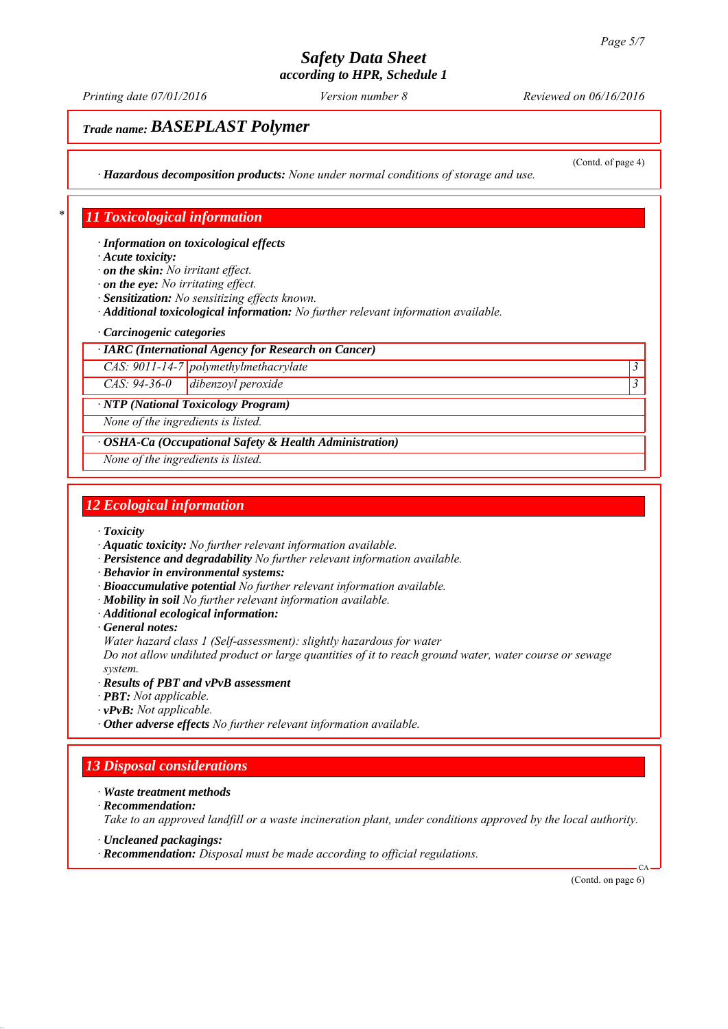*Printing date 07/01/2016 Reviewed on 06/16/2016 Version number 8*

# *Trade name: BASEPLAST Polymer*

(Contd. of page 4)

*∙ Hazardous decomposition products: None under normal conditions of storage and use.*

## *\* 11 Toxicological information*

*∙ Information on toxicological effects*

*∙ Acute toxicity:*

*∙ on the skin: No irritant effect.*

*∙ on the eye: No irritating effect.*

*∙ Sensitization: No sensitizing effects known.*

*∙ Additional toxicological information: No further relevant information available.*

#### *∙ Carcinogenic categories*

*∙ IARC (International Agency for Research on Cancer)*

*CAS: 9011-14-7 polymethylmethacrylate 3* 

*CAS: 94-36-0 dibenzoyl peroxide 3* 

*∙ NTP (National Toxicology Program)*

*None of the ingredients is listed.*

*∙ OSHA-Ca (Occupational Safety & Health Administration)*

*None of the ingredients is listed.*

## *12 Ecological information*

*∙ Toxicity*

- *∙ Aquatic toxicity: No further relevant information available.*
- *∙ Persistence and degradability No further relevant information available.*

*∙ Behavior in environmental systems:*

- *∙ Bioaccumulative potential No further relevant information available.*
- *∙ Mobility in soil No further relevant information available.*
- *∙ Additional ecological information:*

*∙ General notes:*

*Water hazard class 1 (Self-assessment): slightly hazardous for water*

*Do not allow undiluted product or large quantities of it to reach ground water, water course or sewage system.*

*∙ Results of PBT and vPvB assessment*

- *∙ PBT: Not applicable.*
- *∙ vPvB: Not applicable.*

*∙ Other adverse effects No further relevant information available.*

# *13 Disposal considerations*

#### *∙ Waste treatment methods*

*∙ Recommendation:*

*Take to an approved landfill or a waste incineration plant, under conditions approved by the local authority.*

- *∙ Uncleaned packagings:*
- *∙ Recommendation: Disposal must be made according to official regulations.*

(Contd. on page 6)

CA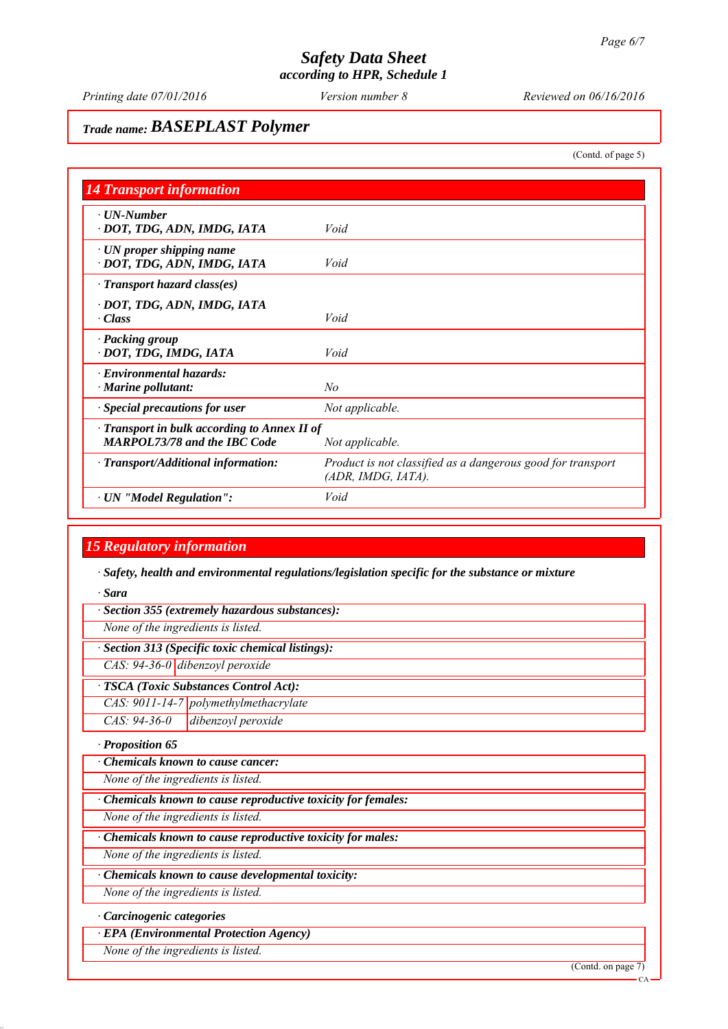*Printing date 07/01/2016 Reviewed on 06/16/2016 Version number 8*

## *Trade name: BASEPLAST Polymer*

(Contd. of page 5)

| <b>14 Transport information</b>                                                           |                                                                                   |
|-------------------------------------------------------------------------------------------|-----------------------------------------------------------------------------------|
| $\cdot$ UN-Number                                                                         | Void                                                                              |
| · DOT, TDG, ADN, IMDG, IATA                                                               |                                                                                   |
| $\cdot$ UN proper shipping name<br>· DOT, TDG, ADN, IMDG, IATA                            | Void                                                                              |
| $\cdot$ Transport hazard class(es)                                                        |                                                                                   |
| · DOT, TDG, ADN, IMDG, IATA<br>· Class                                                    | Void                                                                              |
| · Packing group<br>· DOT, TDG, IMDG, IATA                                                 | Void                                                                              |
| $\cdot$ Environmental hazards:<br>$\cdot$ Marine pollutant:                               | N <sub>o</sub>                                                                    |
| · Special precautions for user                                                            | Not applicable.                                                                   |
| $\cdot$ Transport in bulk according to Annex II of<br><b>MARPOL73/78 and the IBC Code</b> | Not applicable.                                                                   |
| · Transport/Additional information:                                                       | Product is not classified as a dangerous good for transport<br>(ADR, IMDG, IATA). |
| · UN "Model Regulation":                                                                  | Void                                                                              |

## *15 Regulatory information*

*∙ Safety, health and environmental regulations/legislation specific for the substance or mixture*

*∙ Sara*

| · Section 355 (extremely hazardous substances): |  |  |  |  |
|-------------------------------------------------|--|--|--|--|
|-------------------------------------------------|--|--|--|--|

*None of the ingredients is listed.*

*∙ Section 313 (Specific toxic chemical listings):*

*CAS: 94-36-0 dibenzoyl peroxide*

*∙ TSCA (Toxic Substances Control Act):*

*CAS: 9011-14-7 polymethylmethacrylate*

*CAS: 94-36-0 dibenzoyl peroxide*

*∙ Proposition 65*

*∙ Chemicals known to cause cancer:*

*None of the ingredients is listed.*

*∙ Chemicals known to cause reproductive toxicity for females:*

*None of the ingredients is listed.*

*∙ Chemicals known to cause reproductive toxicity for males:*

*None of the ingredients is listed.*

*∙ Chemicals known to cause developmental toxicity:*

*None of the ingredients is listed.*

*∙ Carcinogenic categories*

*∙ EPA (Environmental Protection Agency)*

*None of the ingredients is listed.*

(Contd. on page 7)